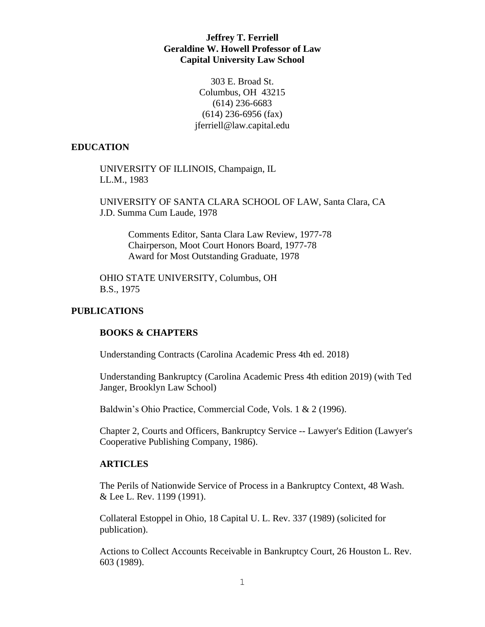# **Jeffrey T. Ferriell Geraldine W. Howell Professor of Law Capital University Law School**

303 E. Broad St. Columbus, OH 43215 (614) 236-6683 (614) 236-6956 (fax) jferriell@law.capital.edu

#### **EDUCATION**

UNIVERSITY OF ILLINOIS, Champaign, IL LL.M., 1983

UNIVERSITY OF SANTA CLARA SCHOOL OF LAW, Santa Clara, CA J.D. Summa Cum Laude, 1978

Comments Editor, Santa Clara Law Review, 1977-78 Chairperson, Moot Court Honors Board, 1977-78 Award for Most Outstanding Graduate, 1978

OHIO STATE UNIVERSITY, Columbus, OH B.S., 1975

# **PUBLICATIONS**

## **BOOKS & CHAPTERS**

Understanding Contracts (Carolina Academic Press 4th ed. 2018)

Understanding Bankruptcy (Carolina Academic Press 4th edition 2019) (with Ted Janger, Brooklyn Law School)

Baldwin's Ohio Practice, Commercial Code, Vols. 1 & 2 (1996).

Chapter 2, Courts and Officers, Bankruptcy Service -- Lawyer's Edition (Lawyer's Cooperative Publishing Company, 1986).

## **ARTICLES**

The Perils of Nationwide Service of Process in a Bankruptcy Context, 48 Wash. & Lee L. Rev. 1199 (1991).

Collateral Estoppel in Ohio, 18 Capital U. L. Rev. 337 (1989) (solicited for publication).

Actions to Collect Accounts Receivable in Bankruptcy Court, 26 Houston L. Rev. 603 (1989).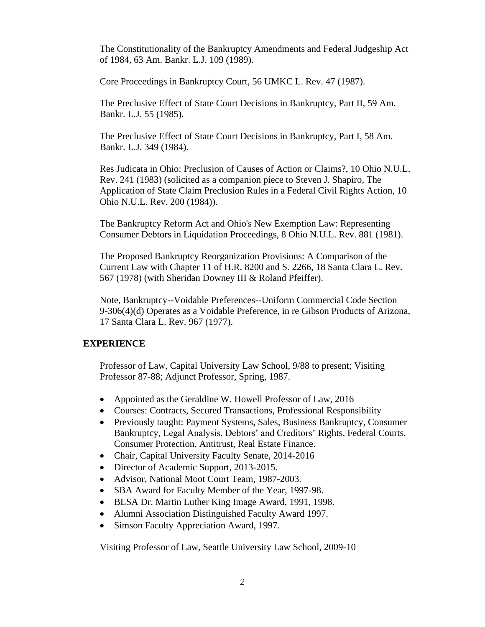The Constitutionality of the Bankruptcy Amendments and Federal Judgeship Act of 1984, 63 Am. Bankr. L.J. 109 (1989).

Core Proceedings in Bankruptcy Court, 56 UMKC L. Rev. 47 (1987).

The Preclusive Effect of State Court Decisions in Bankruptcy, Part II, 59 Am. Bankr. L.J. 55 (1985).

The Preclusive Effect of State Court Decisions in Bankruptcy, Part I, 58 Am. Bankr. L.J. 349 (1984).

Res Judicata in Ohio: Preclusion of Causes of Action or Claims?, 10 Ohio N.U.L. Rev. 241 (1983) (solicited as a companion piece to Steven J. Shapiro, The Application of State Claim Preclusion Rules in a Federal Civil Rights Action, 10 Ohio N.U.L. Rev. 200 (1984)).

The Bankruptcy Reform Act and Ohio's New Exemption Law: Representing Consumer Debtors in Liquidation Proceedings, 8 Ohio N.U.L. Rev. 881 (1981).

The Proposed Bankruptcy Reorganization Provisions: A Comparison of the Current Law with Chapter 11 of H.R. 8200 and S. 2266, 18 Santa Clara L. Rev. 567 (1978) (with Sheridan Downey III & Roland Pfeiffer).

Note, Bankruptcy--Voidable Preferences--Uniform Commercial Code Section 9-306(4)(d) Operates as a Voidable Preference, in re Gibson Products of Arizona, 17 Santa Clara L. Rev. 967 (1977).

## **EXPERIENCE**

Professor of Law, Capital University Law School, 9/88 to present; Visiting Professor 87-88; Adjunct Professor, Spring, 1987.

- Appointed as the Geraldine W. Howell Professor of Law, 2016
- Courses: Contracts, Secured Transactions, Professional Responsibility
- Previously taught: Payment Systems, Sales, Business Bankruptcy, Consumer Bankruptcy, Legal Analysis, Debtors' and Creditors' Rights, Federal Courts, Consumer Protection, Antitrust, Real Estate Finance.
- Chair, Capital University Faculty Senate, 2014-2016
- Director of Academic Support, 2013-2015.
- Advisor, National Moot Court Team, 1987-2003.
- SBA Award for Faculty Member of the Year, 1997-98.
- BLSA Dr. Martin Luther King Image Award, 1991, 1998.
- Alumni Association Distinguished Faculty Award 1997.
- Simson Faculty Appreciation Award, 1997.

Visiting Professor of Law, Seattle University Law School, 2009-10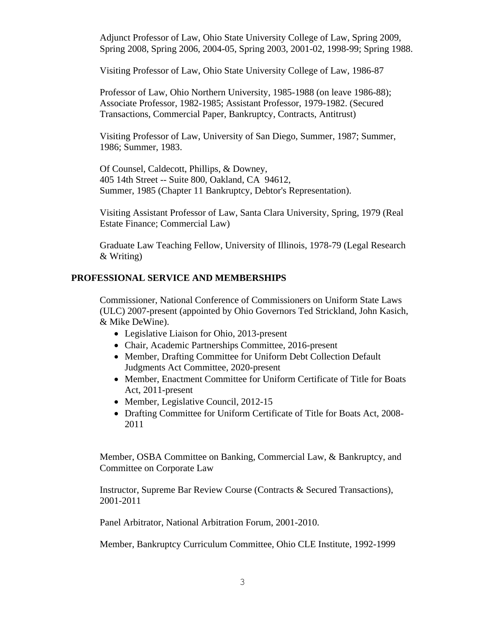Adjunct Professor of Law, Ohio State University College of Law, Spring 2009, Spring 2008, Spring 2006, 2004-05, Spring 2003, 2001-02, 1998-99; Spring 1988.

Visiting Professor of Law, Ohio State University College of Law, 1986-87

Professor of Law, Ohio Northern University, 1985-1988 (on leave 1986-88); Associate Professor, 1982-1985; Assistant Professor, 1979-1982. (Secured Transactions, Commercial Paper, Bankruptcy, Contracts, Antitrust)

Visiting Professor of Law, University of San Diego, Summer, 1987; Summer, 1986; Summer, 1983.

Of Counsel, Caldecott, Phillips, & Downey, 405 14th Street -- Suite 800, Oakland, CA 94612, Summer, 1985 (Chapter 11 Bankruptcy, Debtor's Representation).

Visiting Assistant Professor of Law, Santa Clara University, Spring, 1979 (Real Estate Finance; Commercial Law)

Graduate Law Teaching Fellow, University of Illinois, 1978-79 (Legal Research & Writing)

#### **PROFESSIONAL SERVICE AND MEMBERSHIPS**

Commissioner, National Conference of Commissioners on Uniform State Laws (ULC) 2007-present (appointed by Ohio Governors Ted Strickland, John Kasich, & Mike DeWine).

- Legislative Liaison for Ohio, 2013-present
- Chair, Academic Partnerships Committee, 2016-present
- Member, Drafting Committee for Uniform Debt Collection Default Judgments Act Committee, 2020-present
- Member, Enactment Committee for Uniform Certificate of Title for Boats Act, 2011-present
- Member, Legislative Council, 2012-15
- Drafting Committee for Uniform Certificate of Title for Boats Act, 2008- 2011

Member, OSBA Committee on Banking, Commercial Law, & Bankruptcy, and Committee on Corporate Law

Instructor, Supreme Bar Review Course (Contracts & Secured Transactions), 2001-2011

Panel Arbitrator, National Arbitration Forum, 2001-2010.

Member, Bankruptcy Curriculum Committee, Ohio CLE Institute, 1992-1999